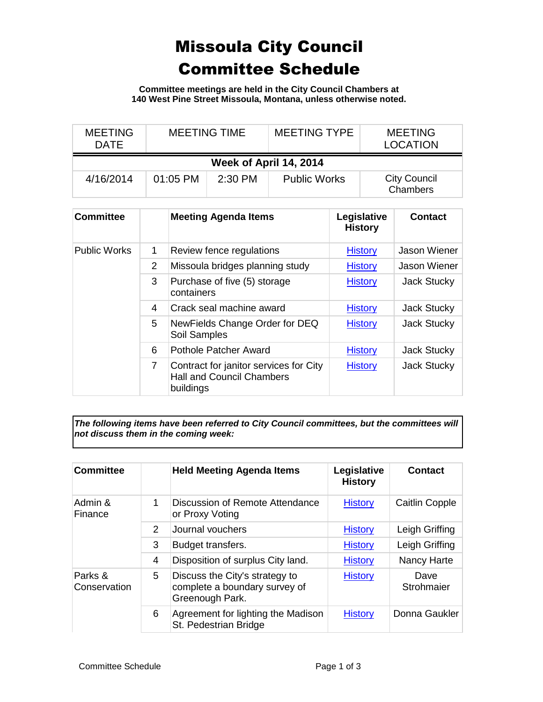## Missoula City Council Committee Schedule

**Committee meetings are held in the City Council Chambers at 140 West Pine Street Missoula, Montana, unless otherwise noted.**

| <b>MEETING</b><br>DATE | <b>MEETING TIME</b> |           | <b>MEETING TYPE</b> | <b>MEETING</b><br><b>LOCATION</b> |  |  |
|------------------------|---------------------|-----------|---------------------|-----------------------------------|--|--|
| Week of April 14, 2014 |                     |           |                     |                                   |  |  |
| 4/16/2014              | $01:05$ PM          | $2:30$ PM | <b>Public Works</b> | <b>City Council</b><br>Chambers   |  |  |

| <b>Committee</b>    |                | <b>Meeting Agenda Items</b>                                                             | Legislative<br><b>History</b> | <b>Contact</b>     |
|---------------------|----------------|-----------------------------------------------------------------------------------------|-------------------------------|--------------------|
| <b>Public Works</b> | 1              | Review fence regulations                                                                | <b>History</b>                | Jason Wiener       |
|                     | 2              | Missoula bridges planning study                                                         | <b>History</b>                | Jason Wiener       |
|                     | 3              | Purchase of five (5) storage<br>containers                                              | <b>History</b>                | <b>Jack Stucky</b> |
|                     | 4              | Crack seal machine award                                                                | <b>History</b>                | Jack Stucky        |
|                     | 5              | NewFields Change Order for DEQ<br>Soil Samples                                          | <b>History</b>                | <b>Jack Stucky</b> |
|                     | 6              | Pothole Patcher Award                                                                   | <b>History</b>                | <b>Jack Stucky</b> |
|                     | $\overline{7}$ | Contract for janitor services for City<br><b>Hall and Council Chambers</b><br>buildings | <b>History</b>                | <b>Jack Stucky</b> |

*The following items have been referred to City Council committees, but the committees will not discuss them in the coming week:*

| <b>Committee</b>        |   | <b>Held Meeting Agenda Items</b>                                                   | Legislative<br><b>History</b> | <b>Contact</b>     |
|-------------------------|---|------------------------------------------------------------------------------------|-------------------------------|--------------------|
| Admin &<br>Finance      | 1 | Discussion of Remote Attendance<br>or Proxy Voting                                 | <b>History</b>                | Caitlin Copple     |
|                         | 2 | Journal vouchers                                                                   | <b>History</b>                | Leigh Griffing     |
|                         | 3 | Budget transfers.                                                                  | <b>History</b>                | Leigh Griffing     |
|                         | 4 | Disposition of surplus City land.                                                  | <b>History</b>                | Nancy Harte        |
| Parks &<br>Conservation | 5 | Discuss the City's strategy to<br>complete a boundary survey of<br>Greenough Park. | <b>History</b>                | Dave<br>Strohmaier |
|                         | 6 | Agreement for lighting the Madison<br>St. Pedestrian Bridge                        | <b>History</b>                | Donna Gaukler      |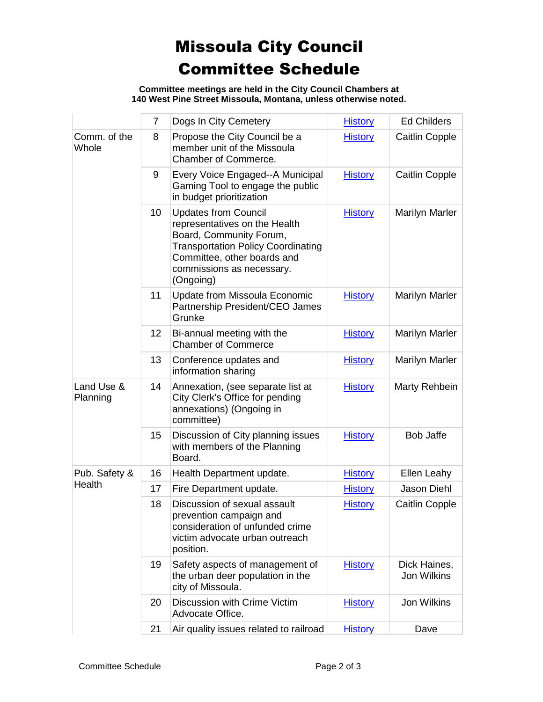## Missoula City Council Committee Schedule

**Committee meetings are held in the City Council Chambers at 140 West Pine Street Missoula, Montana, unless otherwise noted.**

|                         | $\overline{7}$ | Dogs In City Cemetery                                                                                                                                                                                         | <b>History</b> | <b>Ed Childers</b>          |
|-------------------------|----------------|---------------------------------------------------------------------------------------------------------------------------------------------------------------------------------------------------------------|----------------|-----------------------------|
| Comm. of the<br>Whole   | 8              | Propose the City Council be a<br>member unit of the Missoula<br>Chamber of Commerce.                                                                                                                          | <b>History</b> | Caitlin Copple              |
|                         | 9              | Every Voice Engaged--A Municipal<br>Gaming Tool to engage the public<br>in budget prioritization                                                                                                              | <b>History</b> | Caitlin Copple              |
|                         | 10             | <b>Updates from Council</b><br>representatives on the Health<br>Board, Community Forum,<br><b>Transportation Policy Coordinating</b><br>Committee, other boards and<br>commissions as necessary.<br>(Ongoing) | <b>History</b> | <b>Marilyn Marler</b>       |
|                         | 11             | <b>Update from Missoula Economic</b><br>Partnership President/CEO James<br>Grunke                                                                                                                             | <b>History</b> | <b>Marilyn Marler</b>       |
|                         | 12             | Bi-annual meeting with the<br><b>Chamber of Commerce</b>                                                                                                                                                      | <b>History</b> | <b>Marilyn Marler</b>       |
|                         | 13             | Conference updates and<br>information sharing                                                                                                                                                                 | <b>History</b> | Marilyn Marler              |
| Land Use &<br>Planning  | 14             | Annexation, (see separate list at<br>City Clerk's Office for pending<br>annexations) (Ongoing in<br>committee)                                                                                                | <b>History</b> | Marty Rehbein               |
|                         | 15             | Discussion of City planning issues<br>with members of the Planning<br>Board.                                                                                                                                  | <b>History</b> | <b>Bob Jaffe</b>            |
| Pub. Safety &<br>Health | 16             | Health Department update.                                                                                                                                                                                     | <b>History</b> | Ellen Leahy                 |
|                         | 17             | Fire Department update.                                                                                                                                                                                       | <b>History</b> | <b>Jason Diehl</b>          |
|                         | 18             | Discussion of sexual assault<br>prevention campaign and<br>consideration of unfunded crime<br>victim advocate urban outreach<br>position.                                                                     | <b>History</b> | Caitlin Copple              |
|                         | 19             | Safety aspects of management of<br>the urban deer population in the<br>city of Missoula.                                                                                                                      | <b>History</b> | Dick Haines,<br>Jon Wilkins |
|                         | 20             | <b>Discussion with Crime Victim</b><br>Advocate Office.                                                                                                                                                       | <b>History</b> | Jon Wilkins                 |
|                         | 21             | Air quality issues related to railroad                                                                                                                                                                        | <b>History</b> | Dave                        |